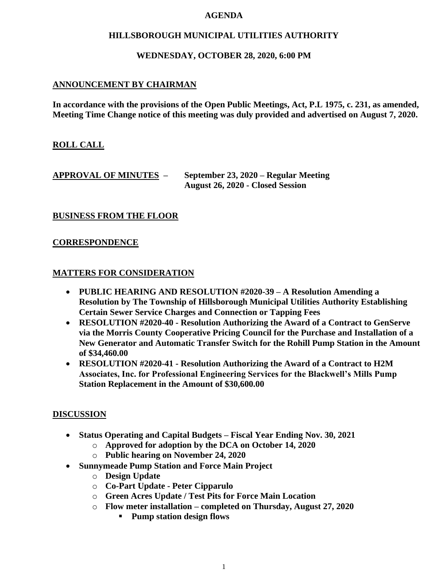#### **AGENDA**

#### **HILLSBOROUGH MUNICIPAL UTILITIES AUTHORITY**

#### **WEDNESDAY, OCTOBER 28, 2020, 6:00 PM**

#### **ANNOUNCEMENT BY CHAIRMAN**

**In accordance with the provisions of the Open Public Meetings, Act, P.L 1975, c. 231, as amended, Meeting Time Change notice of this meeting was duly provided and advertised on August 7, 2020.**

## **ROLL CALL**

#### **APPROVAL OF MINUTES – September 23, 2020 – Regular Meeting August 26, 2020 - Closed Session**

## **BUSINESS FROM THE FLOOR**

#### **CORRESPONDENCE**

#### **MATTERS FOR CONSIDERATION**

- **PUBLIC HEARING AND RESOLUTION #2020-39 – A Resolution Amending a Resolution by The Township of Hillsborough Municipal Utilities Authority Establishing Certain Sewer Service Charges and Connection or Tapping Fees**
- **RESOLUTION #2020-40 - Resolution Authorizing the Award of a Contract to GenServe via the Morris County Cooperative Pricing Council for the Purchase and Installation of a New Generator and Automatic Transfer Switch for the Rohill Pump Station in the Amount of \$34,460.00**
- **RESOLUTION #2020-41 - Resolution Authorizing the Award of a Contract to H2M Associates, Inc. for Professional Engineering Services for the Blackwell's Mills Pump Station Replacement in the Amount of \$30,600.00**

#### **DISCUSSION**

- **Status Operating and Capital Budgets – Fiscal Year Ending Nov. 30, 2021**
	- o **Approved for adoption by the DCA on October 14, 2020**
	- o **Public hearing on November 24, 2020**
- **Sunnymeade Pump Station and Force Main Project**
	- o **Design Update**
	- o **Co-Part Update - Peter Cipparulo**
	- o **Green Acres Update / Test Pits for Force Main Location**
	- o **Flow meter installation – completed on Thursday, August 27, 2020**
		- **Pump station design flows**